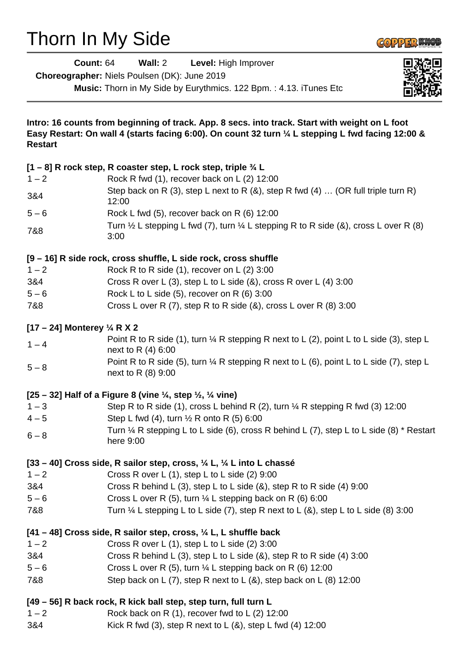# Thorn In My Side



| <b>Count: 64</b>                       | Wall: 2<br>Level: High Improver<br>Choreographer: Niels Poulsen (DK): June 2019<br>Music: Thorn in My Side by Eurythmics. 122 Bpm.: 4.13. iTunes Etc                                                 |  |
|----------------------------------------|------------------------------------------------------------------------------------------------------------------------------------------------------------------------------------------------------|--|
|                                        |                                                                                                                                                                                                      |  |
| <b>Restart</b>                         | Intro: 16 counts from beginning of track. App. 8 secs. into track. Start with weight on L foot<br>Easy Restart: On wall 4 (starts facing 6:00). On count 32 turn 1/4 L stepping L fwd facing 12:00 & |  |
|                                        | [1 – 8] R rock step, R coaster step, L rock step, triple 3/4 L                                                                                                                                       |  |
| $1 - 2$                                | Rock R fwd (1), recover back on L (2) 12:00                                                                                                                                                          |  |
| 3&4                                    | Step back on R (3), step L next to R (&), step R fwd (4)  (OR full triple turn R)<br>12:00                                                                                                           |  |
| $5 - 6$                                | Rock L fwd (5), recover back on R (6) 12:00                                                                                                                                                          |  |
| 7&8                                    | Turn $\frac{1}{2}$ L stepping L fwd (7), turn $\frac{1}{4}$ L stepping R to R side (&), cross L over R (8)<br>3:00                                                                                   |  |
|                                        | [9 – 16] R side rock, cross shuffle, L side rock, cross shuffle                                                                                                                                      |  |
| $1 - 2$                                | Rock R to R side $(1)$ , recover on L $(2)$ 3:00                                                                                                                                                     |  |
| 3&4                                    | Cross R over L (3), step L to L side (&), cross R over L (4) 3:00                                                                                                                                    |  |
| $5 - 6$                                | Rock L to L side $(5)$ , recover on R $(6)$ 3:00                                                                                                                                                     |  |
| 7&8                                    | Cross L over R (7), step R to R side (&), cross L over R (8) 3:00                                                                                                                                    |  |
| [17 – 24] Monterey $\frac{1}{4}$ R X 2 |                                                                                                                                                                                                      |  |
| $1 - 4$                                | Point R to R side (1), turn $\frac{1}{4}$ R stepping R next to L (2), point L to L side (3), step L<br>next to R (4) 6:00                                                                            |  |
| $5 - 8$                                | Point R to R side (5), turn $\frac{1}{4}$ R stepping R next to L (6), point L to L side (7), step L<br>next to R (8) 9:00                                                                            |  |
|                                        | [25 – 32] Half of a Figure 8 (vine $\frac{1}{4}$ , step $\frac{1}{2}$ , $\frac{1}{4}$ vine)                                                                                                          |  |
| $1 - 3$                                | Step R to R side (1), cross L behind R (2), turn 1/4 R stepping R fwd (3) 12:00                                                                                                                      |  |
| $4 - 5$                                | Step L fwd (4), turn $\frac{1}{2}$ R onto R (5) 6:00                                                                                                                                                 |  |
| $6 - 8$                                | Turn $\frac{1}{4}$ R stepping L to L side (6), cross R behind L (7), step L to L side (8) * Restart<br>here 9:00                                                                                     |  |
|                                        | [33 – 40] Cross side, R sailor step, cross, $\frac{1}{4}$ L, $\frac{1}{4}$ L into L chassé                                                                                                           |  |
| $1 - 2$                                | Cross R over L $(1)$ , step L to L side $(2)$ 9:00                                                                                                                                                   |  |
| 3&4                                    | Cross R behind L (3), step L to L side ( $\&$ ), step R to R side (4) 9:00                                                                                                                           |  |
| $5 - 6$                                | Cross L over R (5), turn $\frac{1}{4}$ L stepping back on R (6) 6:00                                                                                                                                 |  |
| 7&8                                    | Turn $\frac{1}{4}$ L stepping L to L side (7), step R next to L (&), step L to L side (8) 3:00                                                                                                       |  |
|                                        | [41 - 48] Cross side, R sailor step, cross, 1/4 L, L shuffle back                                                                                                                                    |  |
| $1 - 2$                                | Cross R over L (1), step L to L side (2) 3:00                                                                                                                                                        |  |
| 3&4                                    | Cross R behind L (3), step L to L side $(8)$ , step R to R side $(4)$ 3:00                                                                                                                           |  |
| $5 - 6$                                | Cross L over R (5), turn $\frac{1}{4}$ L stepping back on R (6) 12:00                                                                                                                                |  |
| 7&8                                    | Step back on L $(7)$ , step R next to L $(8)$ , step back on L $(8)$ 12:00                                                                                                                           |  |
|                                        | [49 – 56] R back rock, R kick ball step, step turn, full turn L                                                                                                                                      |  |
| $1 - 2$                                | Rock back on R $(1)$ , recover fwd to L $(2)$ 12:00                                                                                                                                                  |  |
| 3&4                                    | Kick R fwd (3), step R next to L $(8)$ , step L fwd $(4)$ 12:00                                                                                                                                      |  |